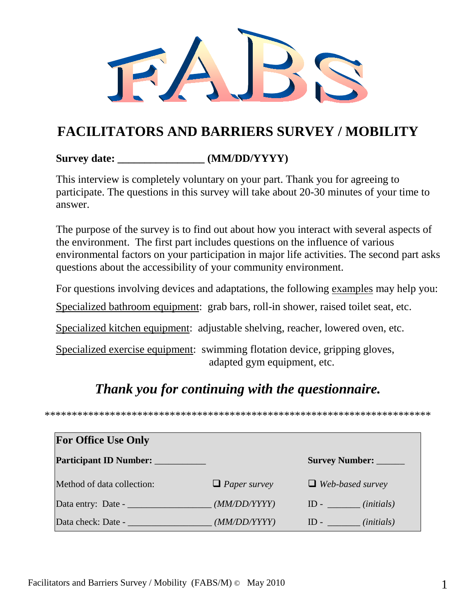### **FACILITATORS AND BARRIERS SURVEY / MOBILITY**

#### **Survey date: \_\_\_\_\_\_\_\_\_\_\_\_\_\_\_\_ (MM/DD/YYYY)**

This interview is completely voluntary on your part. Thank you for agreeing to participate. The questions in this survey will take about 20-30 minutes of your time to answer.

The purpose of the survey is to find out about how you interact with several aspects of the environment. The first part includes questions on the influence of various environmental factors on your participation in major life activities. The second part asks questions about the accessibility of your community environment.

For questions involving devices and adaptations, the following examples may help you:

Specialized bathroom equipment: grab bars, roll-in shower, raised toilet seat, etc.

Specialized kitchen equipment: adjustable shelving, reacher, lowered oven, etc.

Specialized exercise equipment: swimming flotation device, gripping gloves, adapted gym equipment, etc.

#### *Thank you for continuing with the questionnaire.*

\*\*\*\*\*\*\*\*\*\*\*\*\*\*\*\*\*\*\*\*\*\*\*\*\*\*\*\*\*\*\*\*\*\*\*\*\*\*\*\*\*\*\*\*\*\*\*\*\*\*\*\*\*\*\*\*\*\*\*\*\*\*\*\*\*\*\*\*\*\*\*

| <b>For Office Use Only</b>        |                     |                         |
|-----------------------------------|---------------------|-------------------------|
| Participant ID Number: __________ |                     | Survey Number: ______   |
| Method of data collection:        | $\Box$ Paper survey | $\Box$ Web-based survey |
| Data entry: Date -                | (MM/DD/YYYY)        | $ID - \_ (initials)$    |
| Data check: Date -                | (MM/DD/YYYY)        | $ID - (initials)$       |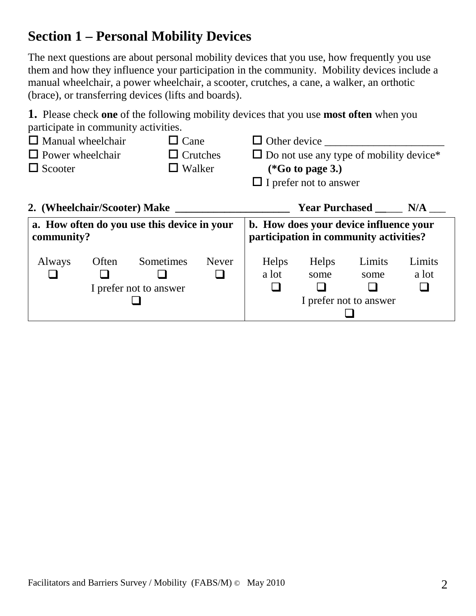## **Section 1 – Personal Mobility Devices**

The next questions are about personal mobility devices that you use, how frequently you use them and how they influence your participation in the community. Mobility devices include a manual wheelchair, a power wheelchair, a scooter, crutches, a cane, a walker, an orthotic (brace), or transferring devices (lifts and boards).

**1.** Please check **one** of the following mobility devices that you use **most often** when you participate in community activities.

| $\Box$ Manual wheelchair |       | $\Box$ Cane                                 |              |       |                               | $\Box$ Other device $\Box$                                                       |        |
|--------------------------|-------|---------------------------------------------|--------------|-------|-------------------------------|----------------------------------------------------------------------------------|--------|
| $\Box$ Power wheelchair  |       | $\Box$ Crutches                             |              |       |                               | $\Box$ Do not use any type of mobility device*                                   |        |
| $\Box$ Scooter           |       | $\Box$ Walker                               |              |       | $(*Go to page 3.)$            |                                                                                  |        |
|                          |       |                                             |              |       | $\Box$ I prefer not to answer |                                                                                  |        |
|                          |       | 2. (Wheelchair/Scooter) Make                |              |       |                               | Year Purchased ______ N/A ___                                                    |        |
| community?               |       | a. How often do you use this device in your |              |       |                               | b. How does your device influence your<br>participation in community activities? |        |
| Always                   | Often | Sometimes                                   | <b>Never</b> | Helps | Helps                         | Limits                                                                           | Limits |
|                          |       |                                             |              | a lot | some                          | some                                                                             | a lot  |
|                          |       | I prefer not to answer                      |              |       |                               |                                                                                  |        |
|                          |       |                                             |              |       |                               | I prefer not to answer                                                           |        |
|                          |       |                                             |              |       |                               |                                                                                  |        |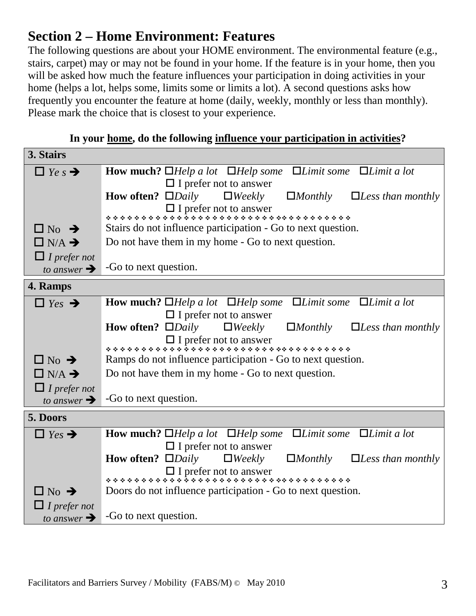### **Section 2 – Home Environment: Features**

The following questions are about your HOME environment. The environmental feature (e.g., stairs, carpet) may or may not be found in your home. If the feature is in your home, then you will be asked how much the feature influences your participation in doing activities in your home (helps a lot, helps some, limits some or limits a lot). A second questions asks how frequently you encounter the feature at home (daily, weekly, monthly or less than monthly). Please mark the choice that is closest to your experience.

| 3. Stairs                 |                                                                                                                              |
|---------------------------|------------------------------------------------------------------------------------------------------------------------------|
| $\Box$ Ye s $\rightarrow$ | <b>How much?</b> $\Box$ <i>Help a lot</i> $\Box$ <i>Help some</i> $\Box$ <i>Limit some</i> $\Box$ <i>Limit a lot</i>         |
|                           | $\Box$ I prefer not to answer                                                                                                |
|                           | <b>How often?</b> $\Box$ <i>Daily</i><br>$\Box$ <i>Weekly</i><br>$\Box$ <i>Monthly</i><br>$\Box$ <i>Less than monthly</i>    |
|                           |                                                                                                                              |
| $\Box$ No $\rightarrow$   | Stairs do not influence participation - Go to next question.                                                                 |
| $\Box$ N/A $\rightarrow$  | Do not have them in my home - Go to next question.                                                                           |
| $\Box$ I prefer not       |                                                                                                                              |
| to answer $\rightarrow$   | -Go to next question.                                                                                                        |
| 4. Ramps                  |                                                                                                                              |
|                           |                                                                                                                              |
| $\Box$ Yes $\rightarrow$  | <b>How much?</b> $\Box$ <i>Help a lot</i> $\Box$ <i>Help some</i> $\Box$ <i>Limit some</i> $\Box$ <i>Limit a lot</i>         |
|                           | $\Box$ I prefer not to answer                                                                                                |
|                           | <b>How often?</b> $\square$ <i>Daily</i> $\square$ <i>Weekly</i><br>$\Box$ <i>Monthly</i><br>$\Box$ <i>Less than monthly</i> |
|                           |                                                                                                                              |
| $\Box$ No $\rightarrow$   | Ramps do not influence participation - Go to next question.                                                                  |
| $\Box$ N/A $\rightarrow$  | Do not have them in my home - Go to next question.                                                                           |
| $\Box$ I prefer not       |                                                                                                                              |
| to answer $\rightarrow$   | -Go to next question.                                                                                                        |
| 5. Doors                  |                                                                                                                              |
| $\Box$ Yes $\rightarrow$  | <b>How much?</b> $\Box$ <i>Help a lot</i> $\Box$ <i>Help some</i> $\Box$ <i>Limit some</i> $\Box$ <i>Limit a lot</i>         |
|                           | $\Box$ I prefer not to answer                                                                                                |
|                           | <b>How often?</b> $\Box$ <i>Daily</i><br>$\Box$ <i>Weekly</i><br>$\Box$ <i>Monthly</i> $\Box$ <i>Less than monthly</i>       |
|                           |                                                                                                                              |
| $\Box$ No $\rightarrow$   | Doors do not influence participation - Go to next question.                                                                  |
| $\Box$ I prefer not       |                                                                                                                              |
| to answer $\rightarrow$   | -Go to next question.                                                                                                        |

**In your home, do the following influence your participation in activities?**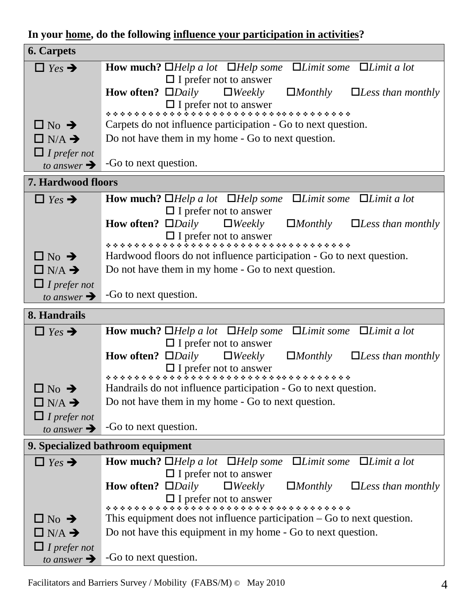**In your home, do the following influence your participation in activities?**

| <b>6. Carpets</b>         |                                                                                                                              |
|---------------------------|------------------------------------------------------------------------------------------------------------------------------|
| $\Box$ Yes $\rightarrow$  | <b>How much?</b> $\Box$ <i>Help a lot</i> $\Box$ <i>Help some</i> $\Box$ <i>Limit some</i> $\Box$ <i>Limit a lot</i>         |
|                           | $\Box$ I prefer not to answer                                                                                                |
|                           | <b>How often?</b> $\square$ <i>Daily</i> $\square$ <i>Weekly</i><br>$\Box$ <i>Monthly</i><br>$\Box$ <i>Less than monthly</i> |
|                           |                                                                                                                              |
|                           |                                                                                                                              |
| $\Box$ No $\rightarrow$   | Carpets do not influence participation - Go to next question.                                                                |
| $\Box$ N/A $\rightarrow$  | Do not have them in my home - Go to next question.                                                                           |
| $\Box$ I prefer not       |                                                                                                                              |
| to answer $\rightarrow$   | -Go to next question.                                                                                                        |
| <b>7. Hardwood floors</b> |                                                                                                                              |
|                           |                                                                                                                              |
| $\Box$ Yes $\rightarrow$  | <b>How much?</b> $\Box$ <i>Help a lot</i> $\Box$ <i>Help some</i> $\Box$ <i>Limit some</i> $\Box$ <i>Limit a lot</i>         |
|                           | $\Box$ I prefer not to answer                                                                                                |
|                           | <b>How often?</b> $\square$ <i>Daily</i> $\square$ <i>Weekly</i><br>$\Box$ <i>Monthly</i><br>$\Box$ <i>Less than monthly</i> |
|                           |                                                                                                                              |
| $\Box$ No $\rightarrow$   | Hardwood floors do not influence participation - Go to next question.                                                        |
| $\Box$ N/A $\rightarrow$  | Do not have them in my home - Go to next question.                                                                           |
|                           |                                                                                                                              |
| $\Box$ I prefer not       |                                                                                                                              |
| to answer $\rightarrow$   | -Go to next question.                                                                                                        |
|                           |                                                                                                                              |
| 8. Handrails              |                                                                                                                              |
| $\Box$ Yes $\rightarrow$  | $\Box$ <i>Limit some</i> $\Box$ <i>Limit a lot</i><br><b>How much?</b> $\Box$ <i>Help a lot</i> $\Box$ <i>Help some</i>      |
|                           | $\Box$ I prefer not to answer                                                                                                |
|                           | <b>How often?</b> $\Box$ <i>Daily</i><br>$\Box$ Weekly<br>$\Box$ <i>Monthly</i><br>$\Box$ <i>Less than monthly</i>           |
|                           |                                                                                                                              |
|                           |                                                                                                                              |
| $\Box$ No $\rightarrow$   | Handrails do not influence participation - Go to next question.                                                              |
| $\Box$ N/A $\rightarrow$  | Do not have them in my home - Go to next question.                                                                           |
| $\Box$ I prefer not       |                                                                                                                              |
| to answer $\rightarrow$   | -Go to next question.                                                                                                        |
|                           | 9. Specialized bathroom equipment                                                                                            |
|                           |                                                                                                                              |
| $\Box$ Yes $\rightarrow$  | $\Box$ <i>Limit some</i> $\Box$ <i>Limit a lot</i><br><b>How much?</b> $\Box$ <i>Help a lot</i> $\Box$ <i>Help some</i>      |
|                           | $\Box$ I prefer not to answer                                                                                                |
|                           | How often? $\square$ <i>Daily</i><br>$\Box$ <i>Weekly</i><br>$\Box$ <i>Monthly</i><br>$\Box$ <i>Less than monthly</i>        |
|                           |                                                                                                                              |
| $\Box$ No $\rightarrow$   | This equipment does not influence participation $-$ Go to next question.                                                     |
| $\Box$ N/A $\rightarrow$  | Do not have this equipment in my home - Go to next question.                                                                 |
| $\Box$ I prefer not       |                                                                                                                              |

Facilitators and Barriers Survey / Mobility (FABS/M)  $\odot$  May 2010 4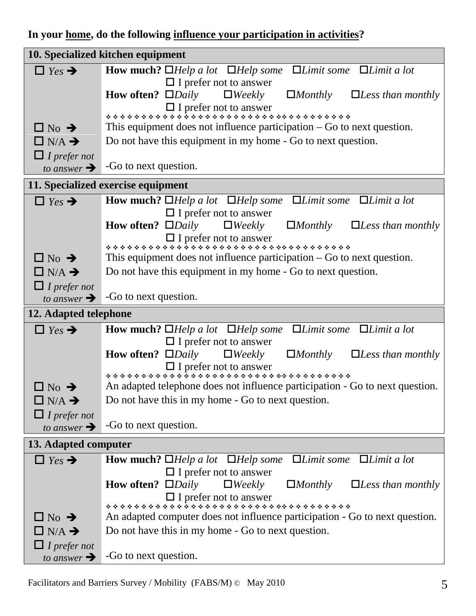#### **In your home, do the following influence your participation in activities?**

|                          | 10. Specialized kitchen equipment                                                                                            |
|--------------------------|------------------------------------------------------------------------------------------------------------------------------|
| $\Box$ Yes $\rightarrow$ | <b>How much?</b> $\Box$ <i>Help a lot</i> $\Box$ <i>Help some</i> $\Box$ <i>Limit some</i> $\Box$ <i>Limit a lot</i>         |
|                          | $\Box$ I prefer not to answer                                                                                                |
|                          | <b>How often?</b> $\square$ <i>Daily</i> $\square$ <i>Weekly</i><br>$\Box$ <i>Monthly</i><br>$\Box$ <i>Less than monthly</i> |
|                          |                                                                                                                              |
|                          |                                                                                                                              |
| $\Box$ No $\rightarrow$  | This equipment does not influence participation $-$ Go to next question.                                                     |
| $\Box$ N/A $\rightarrow$ | Do not have this equipment in my home - Go to next question.                                                                 |
| $\Box$ I prefer not      |                                                                                                                              |
| to answer $\rightarrow$  | -Go to next question.                                                                                                        |
|                          | 11. Specialized exercise equipment                                                                                           |
| $\Box$ Yes $\rightarrow$ | <b>How much?</b> $\Box$ <i>Help a lot</i> $\Box$ <i>Help some</i><br>$\Box$ <i>Limit some</i><br>$\Box$ <i>Limit a lot</i>   |
|                          | $\Box$ I prefer not to answer                                                                                                |
|                          | <b>How often?</b> $\square$ <i>Daily</i><br>$\Box$ Weekly<br>$\Box$ <i>Monthly</i><br>$\Box$ <i>Less than monthly</i>        |
|                          |                                                                                                                              |
|                          |                                                                                                                              |
| $\Box$ No $\rightarrow$  | This equipment does not influence participation $-$ Go to next question.                                                     |
| $\Box$ N/A $\rightarrow$ | Do not have this equipment in my home - Go to next question.                                                                 |
| $\Box$ I prefer not      |                                                                                                                              |
| to answer $\rightarrow$  | -Go to next question.                                                                                                        |
|                          |                                                                                                                              |
| 12. Adapted telephone    |                                                                                                                              |
| $\Box$ Yes $\rightarrow$ | $\Box$ <i>Limit some</i> $\Box$ <i>Limit a lot</i><br><b>How much?</b> $\Box$ <i>Help a lot</i> $\Box$ <i>Help some</i>      |
|                          | $\Box$ I prefer not to answer                                                                                                |
|                          | <b>How often?</b> $\square$ <i>Daily</i> $\square$ <i>Weekly</i><br>$\Box$ <i>Monthly</i><br>$\Box$ <i>Less than monthly</i> |
|                          |                                                                                                                              |
|                          |                                                                                                                              |
| $\Box$ No $\rightarrow$  | An adapted telephone does not influence participation - Go to next question.                                                 |
| $\Box$ N/A $\rightarrow$ | Do not have this in my home - Go to next question.                                                                           |
| $\Box$ I prefer not      |                                                                                                                              |
| to answer $\rightarrow$  | -Go to next question.                                                                                                        |
| 13. Adapted computer     |                                                                                                                              |
| $\Box$ Yes $\rightarrow$ | $\Box$ <i>Limit some</i> $\Box$ <i>Limit a lot</i><br><b>How much?</b> $\Box$ <i>Help a lot</i> $\Box$ <i>Help some</i>      |
|                          | $\Box$ I prefer not to answer                                                                                                |
|                          | How often? $\Box$ <i>Daily</i><br>$\Box$ <i>Weekly</i><br>$\Box$ <i>Monthly</i><br>$\Box$ <i>Less than monthly</i>           |
|                          |                                                                                                                              |
|                          |                                                                                                                              |
| $\Box$ No $\rightarrow$  | An adapted computer does not influence participation - Go to next question.                                                  |
| $\Box$ N/A $\rightarrow$ | Do not have this in my home - Go to next question.                                                                           |
| $\Box$ I prefer not      | -Go to next question.                                                                                                        |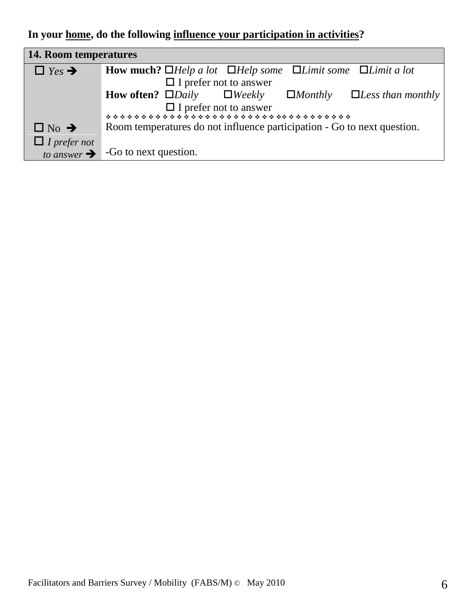**In your home, do the following influence your participation in activities?**

| <b>14. Room temperatures</b> |                                                                                                                        |
|------------------------------|------------------------------------------------------------------------------------------------------------------------|
| $\Box$ Yes $\rightarrow$     | <b>How much?</b> $\Box$ <i>Help a lot</i> $\Box$ <i>Help some</i> $\Box$ <i>Limit some</i> $\Box$ <i>Limit a lot</i>   |
|                              | $\Box$ I prefer not to answer                                                                                          |
|                              | <b>How often?</b> $\Box$ <i>Daily</i> $\Box$ <i>Weekly</i><br>$\Box$ <i>Less than monthly</i><br>$\Box$ <i>Monthly</i> |
|                              | $\Box$ I prefer not to answer                                                                                          |
|                              | *************************************                                                                                  |
| $\Box$ No $\rightarrow$      | Room temperatures do not influence participation - Go to next question.                                                |
| $\Box$ I prefer not          |                                                                                                                        |
|                              | to answer $\rightarrow$ -Go to next question.                                                                          |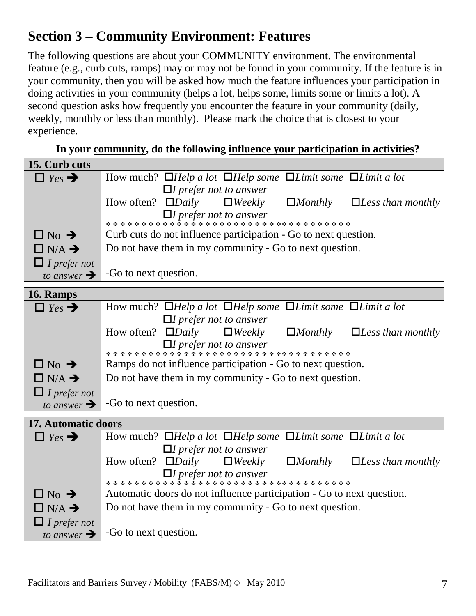## **Section 3 – Community Environment: Features**

The following questions are about your COMMUNITY environment. The environmental feature (e.g., curb cuts, ramps) may or may not be found in your community. If the feature is in your community, then you will be asked how much the feature influences your participation in doing activities in your community (helps a lot, helps some, limits some or limits a lot). A second question asks how frequently you encounter the feature in your community (daily, weekly, monthly or less than monthly). Please mark the choice that is closest to your experience.

| 15. Curb cuts            |                                                                                                                       |
|--------------------------|-----------------------------------------------------------------------------------------------------------------------|
| $\Box$ Yes $\rightarrow$ | How much? $\Box$ Help a lot $\Box$ Help some $\Box$ Limit some $\Box$ Limit a lot                                     |
|                          | $\Box$ I prefer not to answer                                                                                         |
|                          | How often? $\Box$ <i>Daily</i><br>$\Box$ <i>Weekly</i><br>$\Box$ <i>Monthly</i><br>$\Box$ <i>Less than monthly</i>    |
|                          |                                                                                                                       |
|                          |                                                                                                                       |
| $\Box$ No $\rightarrow$  | Curb cuts do not influence participation - Go to next question.                                                       |
| $\Box$ N/A $\rightarrow$ | Do not have them in my community - Go to next question.                                                               |
| $\Box$ I prefer not      |                                                                                                                       |
| to answer $\rightarrow$  | -Go to next question.                                                                                                 |
| 16. Ramps                |                                                                                                                       |
| $\Box$ Yes $\rightarrow$ | How much? $\Box$ Help a lot $\Box$ Help some $\Box$ Limit some $\Box$ Limit a lot                                     |
|                          | $\Box$ I prefer not to answer                                                                                         |
|                          | How often? $\square$ <i>Daily</i> $\square$ <i>Weekly</i><br>$\Box$ <i>Monthly</i><br>$\Box$ <i>Less than monthly</i> |
|                          |                                                                                                                       |
|                          |                                                                                                                       |
| $\Box$ No $\rightarrow$  | Ramps do not influence participation - Go to next question.                                                           |
| $\Box$ N/A $\rightarrow$ | Do not have them in my community - Go to next question.                                                               |
| $\Box$ I prefer not      |                                                                                                                       |
| to answer $\rightarrow$  | -Go to next question.                                                                                                 |
| 17. Automatic doors      |                                                                                                                       |
| $\Box$ Yes $\rightarrow$ | How much? $\Box$ Help a lot $\Box$ Help some $\Box$ Limit some $\Box$ Limit a lot                                     |
|                          | $\Box$ I prefer not to answer                                                                                         |
|                          | How often? $\Box$ <i>Daily</i><br>$\Box$ <i>Weekly</i><br>$\Box$ <i>Monthly</i><br>$\Box$ <i>Less than monthly</i>    |
|                          |                                                                                                                       |
|                          |                                                                                                                       |
| $\Box$ No $\rightarrow$  | Automatic doors do not influence participation - Go to next question.                                                 |
| $\Box$ N/A $\rightarrow$ | Do not have them in my community - Go to next question.                                                               |
| $\Box$ I prefer not      |                                                                                                                       |
| to answer $\rightarrow$  | -Go to next question.                                                                                                 |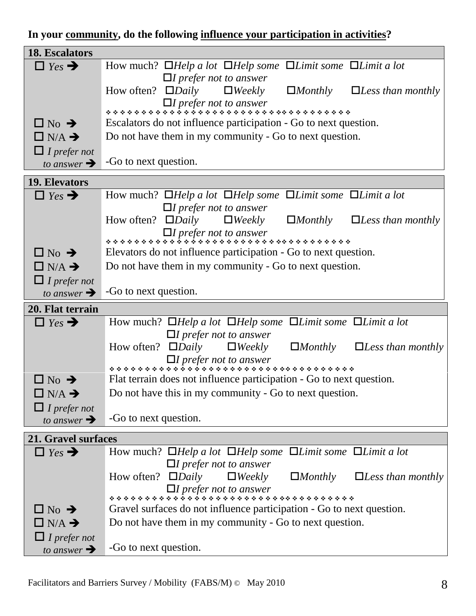#### **In your community, do the following influence your participation in activities?**

| <b>18. Escalators</b>    |                                                                                                                       |
|--------------------------|-----------------------------------------------------------------------------------------------------------------------|
| $\Box$ Yes $\rightarrow$ | How much? $\Box$ Help a lot $\Box$ Help some $\Box$ Limit some $\Box$ Limit a lot                                     |
|                          | $\Box$ I prefer not to answer                                                                                         |
|                          | How often? $\square$ <i>Daily</i> $\square$ <i>Weekly</i><br>$\Box$ <i>Monthly</i><br>$\Box$ <i>Less than monthly</i> |
|                          |                                                                                                                       |
|                          |                                                                                                                       |
| $\Box$ No $\rightarrow$  | Escalators do not influence participation - Go to next question.                                                      |
| $\Box$ N/A $\rightarrow$ | Do not have them in my community - Go to next question.                                                               |
| $\Box$ I prefer not      |                                                                                                                       |
| to answer $\rightarrow$  | -Go to next question.                                                                                                 |
| 19. Elevators            |                                                                                                                       |
| $\Box$ Yes $\rightarrow$ | How much? $\Box$ Help a lot $\Box$ Help some $\Box$ Limit some $\Box$ Limit a lot                                     |
|                          | $\Box I$ prefer not to answer                                                                                         |
|                          | How often? $\square$ <i>Daily</i> $\square$ <i>Weekly</i> $\square$ <i>Monthly</i><br>$\Box$ <i>Less than monthly</i> |
|                          |                                                                                                                       |
|                          |                                                                                                                       |
| $\Box$ No $\rightarrow$  | Elevators do not influence participation - Go to next question.                                                       |
| $\Box$ N/A $\rightarrow$ | Do not have them in my community - Go to next question.                                                               |
| $\Box$ I prefer not      |                                                                                                                       |
| to answer $\rightarrow$  | -Go to next question.                                                                                                 |
|                          |                                                                                                                       |
| 20. Flat terrain         |                                                                                                                       |
| $\Box$ Yes $\rightarrow$ | How much? $\Box$ Help a lot $\Box$ Help some $\Box$ Limit some $\Box$ Limit a lot                                     |
|                          | $\Box$ I prefer not to answer                                                                                         |
|                          | How often? $\Box$ <i>Daily</i><br>$\Box$ <i>Weekly</i><br>$\Box$ <i>Monthly</i>                                       |
|                          |                                                                                                                       |
|                          |                                                                                                                       |
| $\Box$ No $\rightarrow$  | Flat terrain does not influence participation - Go to next question.                                                  |
| $\Box$ N/A $\rightarrow$ | Do not have this in my community - Go to next question.                                                               |
| $\Box$ I prefer not      |                                                                                                                       |
| to answer $\rightarrow$  | -Go to next question.                                                                                                 |
| 21. Gravel surfaces      |                                                                                                                       |
|                          |                                                                                                                       |
| $\Box$ Yes $\rightarrow$ | How much? $\Box$ Help a lot $\Box$ Help some $\Box$ Limit some $\Box$ Limit a lot                                     |
|                          | $\Box$ I prefer not to answer<br>How often? $\square$ <i>Daily</i><br>$\Box$ <i>Weekly</i><br>$\Box$ <i>Monthly</i>   |
|                          |                                                                                                                       |
|                          |                                                                                                                       |
| $\Box$ No $\rightarrow$  | Gravel surfaces do not influence participation - Go to next question.                                                 |
| $\Box$ N/A $\rightarrow$ | Do not have them in my community - Go to next question.                                                               |
| $\Box$ I prefer not      | $\Box$ <i>Less than monthly</i><br>$\Box$ <i>Less than monthly</i><br>-Go to next question.                           |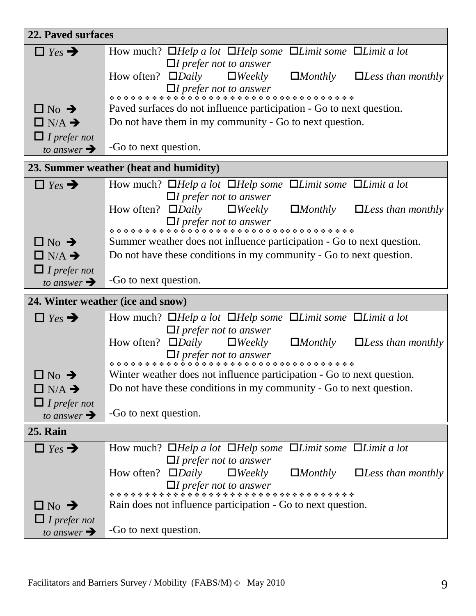| 22. Paved surfaces                             |                                                                                                                                                        |
|------------------------------------------------|--------------------------------------------------------------------------------------------------------------------------------------------------------|
| $\Box$ Yes $\rightarrow$                       | How much? $\Box$ Help a lot $\Box$ Help some $\Box$ Limit some $\Box$ Limit a lot                                                                      |
|                                                | $\Box$ I prefer not to answer<br>How often? $\square$ <i>Daily</i> $\square$ <i>Weekly</i>                                                             |
|                                                | $\Box$ Monthly $\Box$ <i>Less than monthly</i>                                                                                                         |
|                                                |                                                                                                                                                        |
| $\Box$ No $\rightarrow$                        | Paved surfaces do not influence participation - Go to next question.                                                                                   |
| $\Box$ N/A $\rightarrow$                       | Do not have them in my community - Go to next question.                                                                                                |
| $\Box$ I prefer not<br>to answer $\rightarrow$ | -Go to next question.                                                                                                                                  |
|                                                |                                                                                                                                                        |
|                                                | 23. Summer weather (heat and humidity)                                                                                                                 |
| $\Box$ Yes $\rightarrow$                       | How much? $\Box$ Help a lot $\Box$ Help some $\Box$ Limit some $\Box$ Limit a lot                                                                      |
|                                                | $\Box$ I prefer not to answer<br>How often? $\square$ <i>Daily</i> $\square$ <i>Weekly</i><br>$\Box$ <i>Monthly</i><br>$\Box$ <i>Less than monthly</i> |
|                                                |                                                                                                                                                        |
|                                                |                                                                                                                                                        |
| $\Box$ No $\rightarrow$                        | Summer weather does not influence participation - Go to next question.                                                                                 |
| $\Box$ N/A $\rightarrow$                       | Do not have these conditions in my community - Go to next question.                                                                                    |
| $\Box$ I prefer not<br>to answer $\rightarrow$ | -Go to next question.                                                                                                                                  |
|                                                | 24. Winter weather (ice and snow)                                                                                                                      |
|                                                | How much? $\Box$ Help a lot $\Box$ Help some $\Box$ Limit some $\Box$ Limit a lot                                                                      |
| $\Box$ Yes $\rightarrow$                       | $\Box$ I prefer not to answer                                                                                                                          |
|                                                | How often? $\square$ <i>Daily</i> $\square$ <i>Weekly</i><br>$\Box$ <i>Monthly</i><br>$\Box$ <i>Less than monthly</i>                                  |
|                                                |                                                                                                                                                        |
| $\Box$ No $\rightarrow$                        | Winter weather does not influence participation - Go to next question.                                                                                 |
| $\Box$ N/A $\rightarrow$                       | Do not have these conditions in my community - Go to next question.                                                                                    |
| $\Box$ I prefer not                            |                                                                                                                                                        |
| to answer $\rightarrow$                        | -Go to next question.                                                                                                                                  |
| <b>25. Rain</b>                                |                                                                                                                                                        |
| $\Box$ Yes $\rightarrow$                       | How much? $\Box$ Help a lot $\Box$ Help some $\Box$ Limit some $\Box$ Limit a lot                                                                      |
|                                                | $\Box I$ prefer not to answer                                                                                                                          |
|                                                | How often? $\Box$ <i>Daily</i><br>$\Box$ <i>Weekly</i><br>$\Box$ <i>Monthly</i><br>$\Box$ <i>Less than monthly</i>                                     |
|                                                |                                                                                                                                                        |
| $\Box$ No $\rightarrow$                        | Rain does not influence participation - Go to next question.                                                                                           |
| $\Box$ I prefer not                            |                                                                                                                                                        |
| to answer $\rightarrow$                        | -Go to next question.                                                                                                                                  |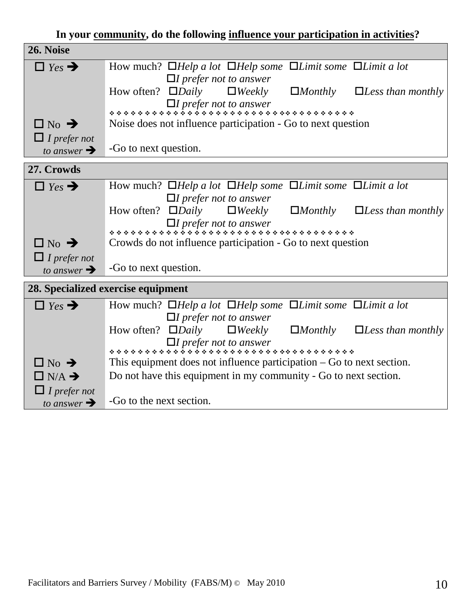| In your community, do the following influence your participation in activities? |  |  |
|---------------------------------------------------------------------------------|--|--|
|                                                                                 |  |  |

| 26. Noise                                      |                                                                                                                    |
|------------------------------------------------|--------------------------------------------------------------------------------------------------------------------|
| $\Box$ Yes $\rightarrow$                       | How much? $\Box$ Help a lot $\Box$ Help some $\Box$ Limit some $\Box$ Limit a lot                                  |
|                                                | $\Box$ I prefer not to answer                                                                                      |
|                                                | How often? $\Box$ <i>Daily</i><br>$\Box$ <i>Weekly</i><br>$\Box$ <i>Monthly</i><br>$\Box$ <i>Less than monthly</i> |
|                                                |                                                                                                                    |
| $\Box$ No $\rightarrow$                        | Noise does not influence participation - Go to next question                                                       |
|                                                |                                                                                                                    |
| $\Box$ I prefer not<br>to answer $\rightarrow$ | -Go to next question.                                                                                              |
|                                                |                                                                                                                    |
| 27. Crowds                                     |                                                                                                                    |
| $\Box$ Yes $\rightarrow$                       | How much? $\Box$ Help a lot $\Box$ Help some $\Box$ Limit some $\Box$ Limit a lot                                  |
|                                                | $\Box I$ prefer not to answer                                                                                      |
|                                                | How often? $\Box$ <i>Daily</i><br>$\Box$ <i>Weekly</i><br>$\Box$ <i>Monthly</i><br>$\Box$ <i>Less than monthly</i> |
|                                                |                                                                                                                    |
| $\Box$ No $\rightarrow$                        | Crowds do not influence participation - Go to next question                                                        |
| $\Box$ I prefer not                            |                                                                                                                    |
| to answer $\rightarrow$                        | -Go to next question.                                                                                              |
|                                                |                                                                                                                    |
|                                                | 28. Specialized exercise equipment                                                                                 |
| $\Box$ Yes $\rightarrow$                       | How much? $\Box$ Help a lot $\Box$ Help some $\Box$ Limit some $\Box$ Limit a lot                                  |
|                                                | $\Box$ I prefer not to answer                                                                                      |
|                                                | How often? $\square$ <i>Daily</i><br>$\Box$ Weekly<br>$\Box$ <i>Monthly</i><br>$\Box$ <i>Less than monthly</i>     |
|                                                |                                                                                                                    |
| $\Box$ No $\rightarrow$                        | This equipment does not influence participation $-$ Go to next section.                                            |
| $\Box$ N/A $\rightarrow$                       | Do not have this equipment in my community - Go to next section.                                                   |
| $\Box$ I prefer not                            |                                                                                                                    |
| to answer $\rightarrow$                        | -Go to the next section.                                                                                           |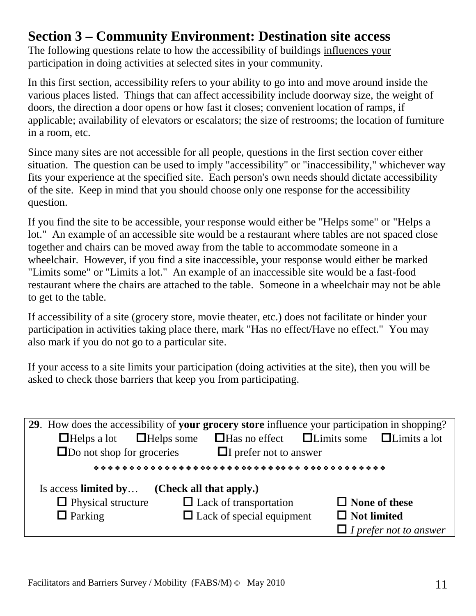#### **Section 3 – Community Environment: Destination site access**

The following questions relate to how the accessibility of buildings influences your participation in doing activities at selected sites in your community.

In this first section, accessibility refers to your ability to go into and move around inside the various places listed. Things that can affect accessibility include doorway size, the weight of doors, the direction a door opens or how fast it closes; convenient location of ramps, if applicable; availability of elevators or escalators; the size of restrooms; the location of furniture in a room, etc.

Since many sites are not accessible for all people, questions in the first section cover either situation. The question can be used to imply "accessibility" or "inaccessibility," whichever way fits your experience at the specified site. Each person's own needs should dictate accessibility of the site. Keep in mind that you should choose only one response for the accessibility question.

If you find the site to be accessible, your response would either be "Helps some" or "Helps a lot." An example of an accessible site would be a restaurant where tables are not spaced close together and chairs can be moved away from the table to accommodate someone in a wheelchair. However, if you find a site inaccessible, your response would either be marked "Limits some" or "Limits a lot." An example of an inaccessible site would be a fast-food restaurant where the chairs are attached to the table. Someone in a wheelchair may not be able to get to the table.

If accessibility of a site (grocery store, movie theater, etc.) does not facilitate or hinder your participation in activities taking place there, mark "Has no effect/Have no effect." You may also mark if you do not go to a particular site.

If your access to a site limits your participation (doing activities at the site), then you will be asked to check those barriers that keep you from participating.

| 29. How does the accessibility of your grocery store influence your participation in shopping? |                                  |                                                             |  |  |
|------------------------------------------------------------------------------------------------|----------------------------------|-------------------------------------------------------------|--|--|
| $\Box$ Helps a lot $\Box$ Helps some                                                           |                                  | $\Box$ Has no effect $\Box$ Limits some $\Box$ Limits a lot |  |  |
| $\Box$ Do not shop for groceries<br>$\Box$ prefer not to answer                                |                                  |                                                             |  |  |
|                                                                                                |                                  |                                                             |  |  |
| (Check all that apply.)<br>Is access limited by                                                |                                  |                                                             |  |  |
| $\Box$ Lack of transportation<br>$\Box$ Physical structure<br>$\Box$ None of these             |                                  |                                                             |  |  |
| $\Box$ Parking                                                                                 | $\Box$ Lack of special equipment | $\Box$ Not limited                                          |  |  |
|                                                                                                |                                  | $\Box$ I prefer not to answer                               |  |  |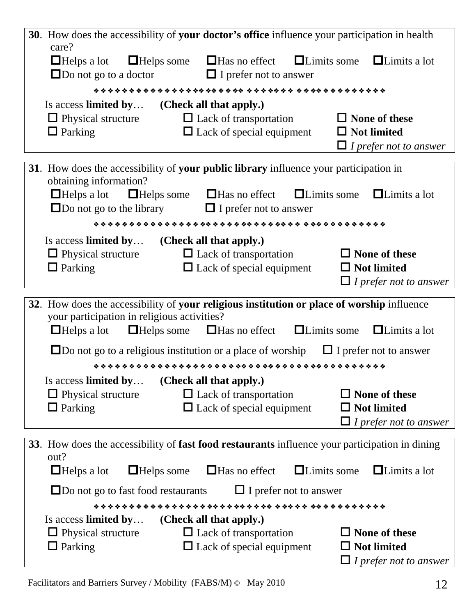| care?<br>$\Box$ Helps some $\Box$ Has no effect<br>$\Box$ Limits a lot<br>$\Box$ Helps a lot<br>$\Box$ Limits some                                             |  |
|----------------------------------------------------------------------------------------------------------------------------------------------------------------|--|
| $\Box$ Do not go to a doctor<br>$\Box$ I prefer not to answer                                                                                                  |  |
|                                                                                                                                                                |  |
| Is access limited by<br>(Check all that apply.)                                                                                                                |  |
| $\Box$ Physical structure<br>$\Box$ Lack of transportation<br>$\Box$ None of these                                                                             |  |
| $\Box$ Parking<br>$\Box$ Lack of special equipment<br>$\Box$ Not limited                                                                                       |  |
| $\Box$ I prefer not to answer                                                                                                                                  |  |
| 31. How does the accessibility of your public library influence your participation in                                                                          |  |
| obtaining information?                                                                                                                                         |  |
| $\Box$ Helps a lot<br>$\Box$ Helps some $\Box$ Has no effect $\Box$ Limits some<br>$\Box$ Limits a lot                                                         |  |
| $\Box$ Do not go to the library $\Box$ I prefer not to answer                                                                                                  |  |
|                                                                                                                                                                |  |
| Is access limited by (Check all that apply.)<br>$\Box$ Physical structure<br>$\Box$ Lack of transportation<br>$\Box$ None of these                             |  |
| $\Box$ Parking<br>$\Box$ Not limited<br>$\Box$ Lack of special equipment                                                                                       |  |
| $\Box$ I prefer not to answer                                                                                                                                  |  |
| 32. How does the accessibility of your religious institution or place of worship influence                                                                     |  |
| your participation in religious activities?                                                                                                                    |  |
| $\Box$ Helps some $\Box$ Has no effect $\Box$ Limits some<br>$\Box$ Limits a lot<br>$\Box$ Helps a lot                                                         |  |
| $\square$ Do not go to a religious institution or a place of worship<br>$\Box$ I prefer not to answer                                                          |  |
|                                                                                                                                                                |  |
| (Check all that apply.)<br>Is access limited by                                                                                                                |  |
| $\Box$ Physical structure<br>$\Box$ None of these<br>$\Box$ Lack of transportation                                                                             |  |
| $\Box$ Parking<br>$\Box$ Lack of special equipment<br>$\Box$ Not limited                                                                                       |  |
| $\Box$ I prefer not to answer                                                                                                                                  |  |
| 33. How does the accessibility of fast food restaurants influence your participation in dining<br>out?                                                         |  |
| $\Box$ Helps a lot<br>$\Box$ Limits a lot<br>$\Box$ Helps some<br>$\Box$ Has no effect<br>$\Box$ Limits some                                                   |  |
| $\Box$ Do not go to fast food restaurants<br>$\Box$ I prefer not to answer                                                                                     |  |
|                                                                                                                                                                |  |
|                                                                                                                                                                |  |
| Is access limited by<br>(Check all that apply.)                                                                                                                |  |
| $\Box$ Physical structure<br>$\Box$ Lack of transportation<br>$\Box$ None of these<br>$\Box$ Parking<br>$\Box$ Not limited<br>$\Box$ Lack of special equipment |  |

Facilitators and Barriers Survey / Mobility (FABS/M)  $\odot$  May 2010 12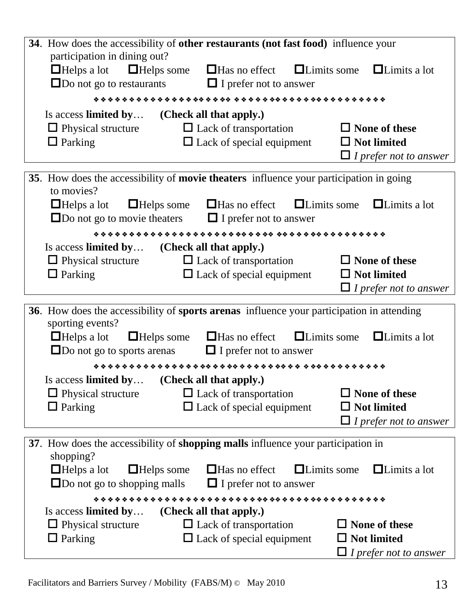|                                                                                             | 34. How does the accessibility of other restaurants (not fast food) influence your                                                  |                                                                             |
|---------------------------------------------------------------------------------------------|-------------------------------------------------------------------------------------------------------------------------------------|-----------------------------------------------------------------------------|
| participation in dining out?<br>$\Box$ Helps some<br>$\Box$ Helps a lot                     | $\Box$ Has no effect $\Box$ Limits some<br>$\square$ Do not go to restaurants $\square$ I prefer not to answer                      | $\Box$ Limits a lot                                                         |
|                                                                                             |                                                                                                                                     |                                                                             |
| Is access limited by                                                                        | (Check all that apply.)                                                                                                             |                                                                             |
| $\Box$ Physical structure<br>$\Box$ Parking                                                 | $\Box$ Lack of transportation<br>$\Box$ Lack of special equipment                                                                   | $\Box$ None of these<br>$\Box$ Not limited                                  |
|                                                                                             |                                                                                                                                     | $\Box$ I prefer not to answer                                               |
|                                                                                             |                                                                                                                                     |                                                                             |
| to movies?                                                                                  | 35. How does the accessibility of movie theaters influence your participation in going                                              |                                                                             |
|                                                                                             | $\Box$ Helps a lot $\Box$ Helps some $\Box$ Has no effect<br>$\square$ Do not go to movie theaters $\square$ I prefer not to answer | $\Box$ Limits a lot<br>$\Box$ Limits some                                   |
|                                                                                             |                                                                                                                                     |                                                                             |
| Is access limited by (Check all that apply.)<br>$\Box$ Physical structure<br>$\Box$ Parking | $\Box$ Lack of transportation<br>$\Box$ Lack of special equipment                                                                   | $\Box$ None of these<br>$\Box$ Not limited<br>$\Box$ I prefer not to answer |
|                                                                                             | 36. How does the accessibility of sports arenas influence your participation in attending                                           |                                                                             |
| sporting events?<br>$\Box$ Helps a lot<br>$\Box$ Helps some                                 | $\Box$ Has no effect                                                                                                                | $\Box$ Limits some<br>$\Box$ Limits a lot                                   |
|                                                                                             | $\square$ Do not go to sports are nas $\square$ I prefer not to answer                                                              |                                                                             |
|                                                                                             |                                                                                                                                     |                                                                             |
| Is access limited by<br>$\Box$ Physical structure                                           | (Check all that apply.)<br>$\Box$ Lack of transportation                                                                            | $\Box$ None of these                                                        |
| $\Box$ Parking                                                                              | $\Box$ Lack of special equipment                                                                                                    | $\Box$ Not limited                                                          |
|                                                                                             |                                                                                                                                     | $\Box$ I prefer not to answer                                               |
|                                                                                             | 37. How does the accessibility of shopping malls influence your participation in                                                    |                                                                             |
| shopping?                                                                                   |                                                                                                                                     |                                                                             |
| $\Box$ Helps a lot<br>$\Box$ Helps some                                                     | $\Box$ Has no effect                                                                                                                | $\Box$ Limits some<br>$\Box$ Limits a lot                                   |
| $\Box$ Do not go to shopping malls                                                          | $\Box$ I prefer not to answer                                                                                                       |                                                                             |
|                                                                                             |                                                                                                                                     |                                                                             |
| Is access limited by<br>$\Box$ Physical structure                                           | (Check all that apply.)<br>$\Box$ Lack of transportation                                                                            | $\Box$ None of these                                                        |
| $\Box$ Parking                                                                              | $\Box$ Lack of special equipment                                                                                                    | $\Box$ Not limited                                                          |
|                                                                                             |                                                                                                                                     | $\Box$ I prefer not to answer                                               |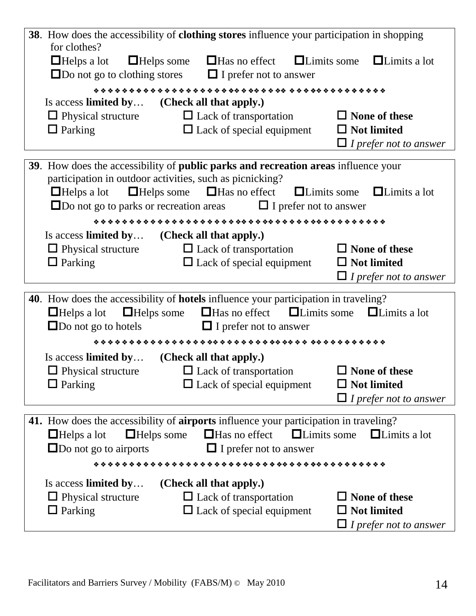|                                                                           | 38. How does the accessibility of clothing stores influence your participation in shopping |                                           |
|---------------------------------------------------------------------------|--------------------------------------------------------------------------------------------|-------------------------------------------|
| for clothes?<br>$\Box$ Helps a lot<br>$\Box$ Do not go to clothing stores | $\Box$ Helps some $\Box$ Has no effect<br>$\Box$ I prefer not to answer                    | $\Box$ Limits some<br>$\Box$ Limits a lot |
|                                                                           |                                                                                            |                                           |
|                                                                           | Is access limited by (Check all that apply.)                                               |                                           |
| $\Box$ Physical structure                                                 | $\Box$ Lack of transportation                                                              | $\Box$ None of these                      |
| $\Box$ Parking                                                            | $\Box$ Lack of special equipment                                                           | $\Box$ Not limited                        |
|                                                                           |                                                                                            | $\Box$ I prefer not to answer             |
|                                                                           | 39. How does the accessibility of public parks and recreation areas influence your         |                                           |
|                                                                           | participation in outdoor activities, such as picnicking?                                   |                                           |
| $\Box$ Helps a lot                                                        | $\Box$ Has no effect $\Box$ Limits some $\Box$ Limits a lot<br>$\Box$ Helps some           |                                           |
|                                                                           | $\square$ Do not go to parks or recreation areas $\square$ I prefer not to answer          |                                           |
|                                                                           |                                                                                            |                                           |
|                                                                           | Is access limited by (Check all that apply.)                                               |                                           |
| $\Box$ Physical structure                                                 | $\Box$ Lack of transportation                                                              | $\Box$ None of these                      |
| $\Box$ Parking                                                            | $\Box$ Lack of special equipment                                                           | $\Box$ Not limited                        |
|                                                                           |                                                                                            | $\Box$ I prefer not to answer             |
|                                                                           | 40. How does the accessibility of <b>hotels</b> influence your participation in traveling? |                                           |
| $\Box$ Helps a lot                                                        | $\Box$ Has no effect $\Box$ Limits some<br>$\Box$ Helps some                               | $\Box$ Limits a lot                       |
| $\Box$ Do not go to hotels                                                | $\Box$ I prefer not to answer                                                              |                                           |
|                                                                           |                                                                                            |                                           |
|                                                                           |                                                                                            |                                           |
| Is access limited by                                                      | (Check all that apply.)                                                                    |                                           |
| $\Box$ Physical structure                                                 | $\Box$ Lack of transportation                                                              | $\Box$ None of these                      |
| $\Box$ Parking                                                            | $\Box$ Lack of special equipment                                                           | <b>Not limited</b>                        |
|                                                                           |                                                                                            | I prefer not to answer                    |
|                                                                           |                                                                                            |                                           |
|                                                                           | 41. How does the accessibility of airports influence your participation in traveling?      | $\Box$ Limits a lot                       |
| $\Box$ Helps a lot                                                        | $\Box$ Has no effect<br><b>ILimits</b> some<br>$\Box$ Helps some                           |                                           |
| $\Box$ Do not go to airports                                              | $\Box$ I prefer not to answer                                                              |                                           |
|                                                                           |                                                                                            |                                           |
| Is access limited by                                                      | (Check all that apply.)                                                                    |                                           |
| $\Box$ Physical structure<br>$\Box$ Parking                               | $\Box$ Lack of transportation<br>$\Box$ Lack of special equipment                          | None of these<br><b>Not limited</b>       |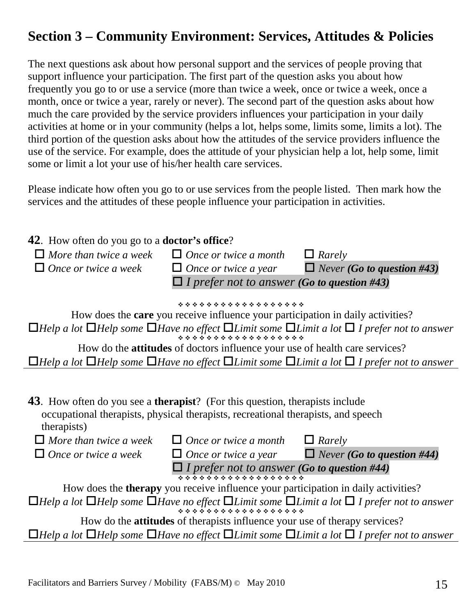## **Section 3 – Community Environment: Services, Attitudes & Policies**

The next questions ask about how personal support and the services of people proving that support influence your participation. The first part of the question asks you about how frequently you go to or use a service (more than twice a week, once or twice a week, once a month, once or twice a year, rarely or never). The second part of the question asks about how much the care provided by the service providers influences your participation in your daily activities at home or in your community (helps a lot, helps some, limits some, limits a lot). The third portion of the question asks about how the attitudes of the service providers influence the use of the service. For example, does the attitude of your physician help a lot, help some, limit some or limit a lot your use of his/her health care services.

Please indicate how often you go to or use services from the people listed. Then mark how the services and the attitudes of these people influence your participation in activities.

| <b>42.</b> How often do you go to a <b>doctor's office</b> ?                                                |                                                                                           |                                                                                                                                               |
|-------------------------------------------------------------------------------------------------------------|-------------------------------------------------------------------------------------------|-----------------------------------------------------------------------------------------------------------------------------------------------|
|                                                                                                             | $\Box$ More than twice a week $\Box$ Once or twice a month                                | $\Box$ Rarely                                                                                                                                 |
| $\Box$ Once or twice a week                                                                                 | $\Box$ Once or twice a year                                                               | $\Box$ Never (Go to question #43)                                                                                                             |
|                                                                                                             | $\Box$ I prefer not to answer (Go to question #43)                                        |                                                                                                                                               |
|                                                                                                             | *******************                                                                       |                                                                                                                                               |
|                                                                                                             | How does the <b>care</b> you receive influence your participation in daily activities?    |                                                                                                                                               |
|                                                                                                             |                                                                                           | <b><math>\Box</math></b> Help a lot $\Box$ Help some $\Box$ Have no effect $\Box$ Limit some $\Box$ Limit a lot $\Box$ I prefer not to answer |
|                                                                                                             | How do the <b>attitudes</b> of doctors influence your use of health care services?        |                                                                                                                                               |
|                                                                                                             |                                                                                           | $\Box$ Help a lot $\Box$ Help some $\Box$ Have no effect $\Box$ Limit some $\Box$ Limit a lot $\Box$ I prefer not to answer                   |
|                                                                                                             |                                                                                           |                                                                                                                                               |
| <b>43</b> . How often do you see a <b>therapist</b> ? (For this question, therapists include<br>therapists) | occupational therapists, physical therapists, recreational therapists, and speech         |                                                                                                                                               |
| $\Box$ More than twice a week                                                                               | $\Box$ Once or twice a month $\Box$ Rarely                                                |                                                                                                                                               |
| $\Box$ Once or twice a week                                                                                 | $\Box$ Once or twice a year                                                               | $\Box$ Never (Go to question #44)                                                                                                             |
|                                                                                                             | $\Box$ I prefer not to answer (Go to question #44)                                        |                                                                                                                                               |
|                                                                                                             | How does the <b>therapy</b> you receive influence your participation in daily activities? |                                                                                                                                               |
|                                                                                                             |                                                                                           | $\Box$ Help a lot $\Box$ Help some $\Box$ Have no effect $\Box$ Limit some $\Box$ Limit a lot $\Box$ I prefer not to answer                   |
|                                                                                                             | How do the <b>attitudes</b> of therapists influence your use of therapy services?         |                                                                                                                                               |
|                                                                                                             |                                                                                           | $\Box$ Help a lot $\Box$ Help some $\Box$ Have no effect $\Box$ Limit some $\Box$ Limit a lot $\Box$ I prefer not to answer                   |
|                                                                                                             |                                                                                           |                                                                                                                                               |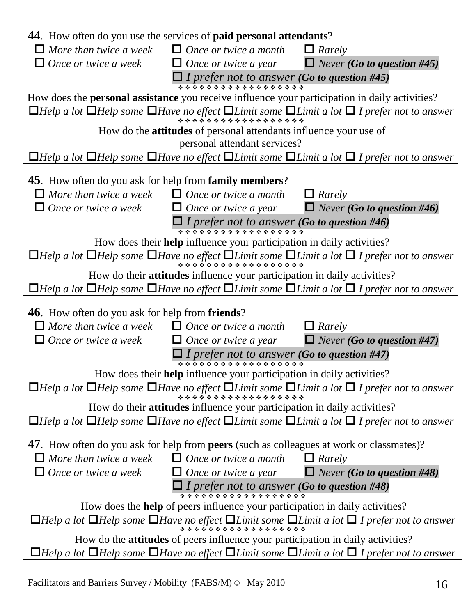| <b>44.</b> How often do you use the services of <b>paid personal attendants</b> ?                                                |                                                                                        |                                                                                                                                               |
|----------------------------------------------------------------------------------------------------------------------------------|----------------------------------------------------------------------------------------|-----------------------------------------------------------------------------------------------------------------------------------------------|
| $\Box$ More than twice a week $\Box$ Once or twice a month                                                                       |                                                                                        | $\Box$ Rarely                                                                                                                                 |
| $\Box$ Once or twice a week                                                                                                      | $\Box$ Once or twice a year                                                            | $\Box$ Never (Go to question #45)                                                                                                             |
|                                                                                                                                  | I I prefer not to answer (Go to question #45)                                          |                                                                                                                                               |
| How does the <b>personal assistance</b> you receive influence your participation in daily activities?                            |                                                                                        |                                                                                                                                               |
|                                                                                                                                  |                                                                                        | <b><math>\Box</math></b> Help a lot $\Box$ Help some $\Box$ Have no effect $\Box$ Limit some $\Box$ Limit a lot $\Box$ I prefer not to answer |
|                                                                                                                                  | How do the <b>attitudes</b> of personal attendants influence your use of               |                                                                                                                                               |
|                                                                                                                                  | personal attendant services?                                                           |                                                                                                                                               |
|                                                                                                                                  |                                                                                        | $\Box$ Help a lot $\Box$ Help some $\Box$ Have no effect $\Box$ Limit some $\Box$ Limit a lot $\Box$ I prefer not to answer                   |
| <b>45</b> . How often do you ask for help from <b>family members</b> ?                                                           |                                                                                        |                                                                                                                                               |
| $\Box$ More than twice a week                                                                                                    | $\Box$ Once or twice a month                                                           | $\Box$ Rarely                                                                                                                                 |
| $\Box$ Once or twice a week                                                                                                      | $\Box$ Once or twice a year                                                            | $\Box$ Never (Go to question #46)                                                                                                             |
|                                                                                                                                  | $\Box$ I prefer not to answer (Go to question #46)                                     |                                                                                                                                               |
|                                                                                                                                  | How does their <b>help</b> influence your participation in daily activities?           |                                                                                                                                               |
|                                                                                                                                  |                                                                                        | <b><math>\Box</math></b> Help a lot $\Box$ Help some $\Box$ Have no effect $\Box$ Limit some $\Box$ Limit a lot $\Box$ I prefer not to answer |
|                                                                                                                                  | How do their attitudes influence your participation in daily activities?               |                                                                                                                                               |
|                                                                                                                                  |                                                                                        | $\Box$ Help a lot $\Box$ Help some $\Box$ Have no effect $\Box$ Limit some $\Box$ Limit a lot $\Box$ I prefer not to answer                   |
| <b>46</b> . How often do you ask for help from <b>friends</b> ?                                                                  |                                                                                        |                                                                                                                                               |
| $\Box$ More than twice a week                                                                                                    | $\Box$ Once or twice a month                                                           | $\Box$ Rarely                                                                                                                                 |
| $\Box$ Once or twice a week                                                                                                      | $\Box$ Once or twice a year                                                            | $\Box$ Never (Go to question #47)                                                                                                             |
|                                                                                                                                  | $\prod_{\text{stacked}}$ prefer not to answer (Go to question #47)                     |                                                                                                                                               |
|                                                                                                                                  | How does their help influence your participation in daily activities?                  |                                                                                                                                               |
|                                                                                                                                  |                                                                                        | <b><math>\Box</math></b> Help a lot $\Box$ Help some $\Box$ Have no effect $\Box$ Limit some $\Box$ Limit a lot $\Box$ I prefer not to answer |
|                                                                                                                                  | How do their <b>attitudes</b> influence your participation in daily activities?        |                                                                                                                                               |
|                                                                                                                                  |                                                                                        | $\Box$ Help a lot $\Box$ Help some $\Box$ Have no effect $\Box$ Limit some $\Box$ Limit a lot $\Box$ I prefer not to answer                   |
|                                                                                                                                  |                                                                                        |                                                                                                                                               |
| 47. How often do you ask for help from <b>peers</b> (such as colleagues at work or classmates)?<br>$\Box$ More than twice a week | $\Box$ Once or twice a month                                                           |                                                                                                                                               |
| $\Box$ Once or twice a week                                                                                                      | $\Box$ Once or twice a year                                                            | $\Box$ Rarely<br>$\Box$ Never (Go to question #48)                                                                                            |
|                                                                                                                                  |                                                                                        |                                                                                                                                               |
|                                                                                                                                  | $\Box$ I prefer not to answer (Go to question #48)                                     |                                                                                                                                               |
|                                                                                                                                  | How does the <b>help</b> of peers influence your participation in daily activities?    |                                                                                                                                               |
|                                                                                                                                  |                                                                                        | <b><math>\Box</math></b> Help a lot $\Box$ Help some $\Box$ Have no effect $\Box$ Limit some $\Box$ Limit a lot $\Box$ I prefer not to answer |
|                                                                                                                                  | How do the <b>attitudes</b> of peers influence your participation in daily activities? |                                                                                                                                               |
|                                                                                                                                  |                                                                                        | $\Box$ Help a lot $\Box$ Help some $\Box$ Have no effect $\Box$ Limit some $\Box$ Limit a lot $\Box$ I prefer not to answer                   |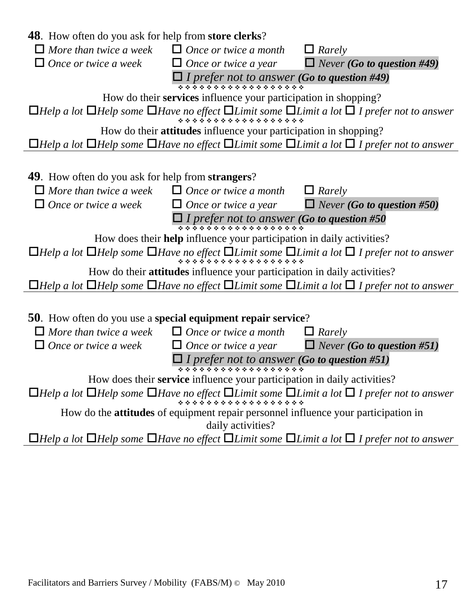| <b>48</b> . How often do you ask for help from <b>store clerks</b> ?         |                                                                                           |                                                                                                                                               |
|------------------------------------------------------------------------------|-------------------------------------------------------------------------------------------|-----------------------------------------------------------------------------------------------------------------------------------------------|
| $\Box$ More than twice a week                                                | $\Box$ Once or twice a month                                                              | $\Box$ Rarely                                                                                                                                 |
| $\Box$ Once or twice a week                                                  | $\Box$ Once or twice a year                                                               | $\Box$ Never (Go to question #49)                                                                                                             |
|                                                                              | $\prod_{\text{}} \prod_{\text{}} \text{prefer not to answer (Go to question #49)}$        |                                                                                                                                               |
|                                                                              | How do their services influence your participation in shopping?                           |                                                                                                                                               |
|                                                                              |                                                                                           | $\Box$ Help a lot $\Box$ Help some $\Box$ Have no effect $\Box$ Limit some $\Box$ Limit a lot $\Box$ I prefer not to answer                   |
|                                                                              | How do their <b>attitudes</b> influence your participation in shopping?                   |                                                                                                                                               |
|                                                                              |                                                                                           | $\Box$ Help a lot $\Box$ Help some $\Box$ Have no effect $\Box$ Limit some $\Box$ Limit a lot $\Box$ I prefer not to answer                   |
|                                                                              |                                                                                           |                                                                                                                                               |
| <b>49.</b> How often do you ask for help from <b>strangers</b> ?             |                                                                                           |                                                                                                                                               |
| $\Box$ More than twice a week $\Box$ Once or twice a month                   |                                                                                           | $\Box$ Rarely                                                                                                                                 |
| $\Box$ Once or twice a week                                                  | $\Box$ Once or twice a year                                                               | $\Box$ Never (Go to question #50)                                                                                                             |
|                                                                              | $\Box$ I prefer not to answer (Go to question #50                                         |                                                                                                                                               |
|                                                                              | How does their <b>help</b> influence your participation in daily activities?              |                                                                                                                                               |
|                                                                              |                                                                                           | <b><math>\Box</math></b> Help a lot $\Box$ Help some $\Box$ Have no effect $\Box$ Limit some $\Box$ Limit a lot $\Box$ I prefer not to answer |
|                                                                              | How do their attitudes influence your participation in daily activities?                  |                                                                                                                                               |
|                                                                              |                                                                                           | $\Box$ Help a lot $\Box$ Help some $\Box$ Have no effect $\Box$ Limit some $\Box$ Limit a lot $\Box$ I prefer not to answer                   |
|                                                                              |                                                                                           |                                                                                                                                               |
| <b>50</b> . How often do you use a <b>special equipment repair service</b> ? |                                                                                           |                                                                                                                                               |
| $\Box$ More than twice a week                                                | $\Box$ Once or twice a month                                                              | $\Box$ Rarely                                                                                                                                 |
| $\Box$ Once or twice a week                                                  | $\Box$ Once or twice a year                                                               | $\Box$ Never (Go to question #51)                                                                                                             |
|                                                                              | $\Box$ I prefer not to answer (Go to question #51)<br>******************                  |                                                                                                                                               |
|                                                                              | How does their service influence your participation in daily activities?                  |                                                                                                                                               |
|                                                                              |                                                                                           | $\Box$ Help a lot $\Box$ Help some $\Box$ Have no effect $\Box$ Limit some $\Box$ Limit a lot $\Box$ I prefer not to answer                   |
|                                                                              | How do the <b>attitudes</b> of equipment repair personnel influence your participation in |                                                                                                                                               |
|                                                                              | daily activities?                                                                         |                                                                                                                                               |
|                                                                              |                                                                                           | $\Box$ Help a lot $\Box$ Help some $\Box$ Have no effect $\Box$ Limit some $\Box$ Limit a lot $\Box$ I prefer not to answer                   |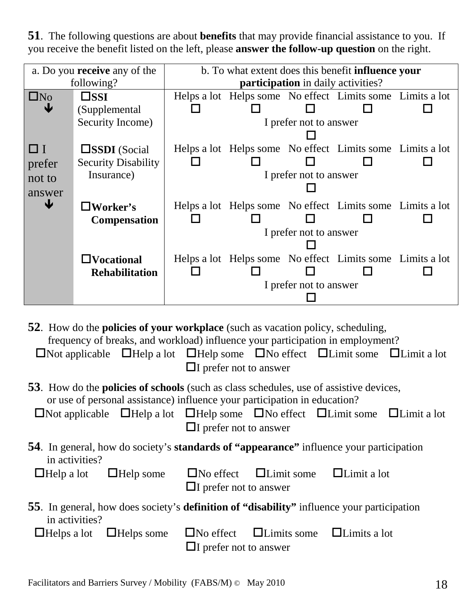**51**. The following questions are about **benefits** that may provide financial assistance to you. If you receive the benefit listed on the left, please **answer the follow-up question** on the right.

|           | a. Do you <b>receive</b> any of the<br>b. To what extent does this benefit <b>influence</b> your |                                           |  |                        |                                                           |  |
|-----------|--------------------------------------------------------------------------------------------------|-------------------------------------------|--|------------------------|-----------------------------------------------------------|--|
|           | following?                                                                                       | <b>participation</b> in daily activities? |  |                        |                                                           |  |
| $\Box$ No | $\square$ ssi                                                                                    |                                           |  |                        | Helps a lot Helps some No effect Limits some Limits a lot |  |
| Ψ         | (Supplemental                                                                                    |                                           |  |                        |                                                           |  |
|           | Security Income)                                                                                 |                                           |  | I prefer not to answer |                                                           |  |
|           |                                                                                                  |                                           |  |                        |                                                           |  |
| ⊔⊥        | $\square$ SSDI (Social                                                                           |                                           |  |                        | Helps a lot Helps some No effect Limits some Limits a lot |  |
| prefer    | <b>Security Disability</b>                                                                       |                                           |  |                        |                                                           |  |
| not to    | Insurance)                                                                                       |                                           |  | I prefer not to answer |                                                           |  |
| answer    |                                                                                                  |                                           |  |                        |                                                           |  |
| ψ         | $\Box$ Worker's                                                                                  |                                           |  |                        | Helps a lot Helps some No effect Limits some Limits a lot |  |
|           | <b>Compensation</b>                                                                              |                                           |  |                        |                                                           |  |
|           |                                                                                                  |                                           |  | I prefer not to answer |                                                           |  |
|           |                                                                                                  |                                           |  |                        |                                                           |  |
|           | $\Box$ Vocational                                                                                |                                           |  |                        | Helps a lot Helps some No effect Limits some Limits a lot |  |
|           | <b>Rehabilitation</b>                                                                            |                                           |  |                        |                                                           |  |
|           |                                                                                                  | I prefer not to answer                    |  |                        |                                                           |  |
|           |                                                                                                  |                                           |  |                        |                                                           |  |

**52**. How do the **policies of your workplace** (such as vacation policy, scheduling, frequency of breaks, and workload) influence your participation in employment?  $\Box$ Not applicable  $\Box$ Help a lot  $\Box$ Help some  $\Box$ No effect  $\Box$ Limit some  $\Box$ Limit a lot  $\Box$ I prefer not to answer

**53**. How do the **policies of schools** (such as class schedules, use of assistive devices, or use of personal assistance) influence your participation in education?

| $\Box$ Not applicable $\Box$ Help a lot $\Box$ Help some $\Box$ No effect $\Box$ Limit some $\Box$ Limit a lot |                             |  |  |
|----------------------------------------------------------------------------------------------------------------|-----------------------------|--|--|
|                                                                                                                | $\Box$ prefer not to answer |  |  |

**54**. In general, how do society's **standards of "appearance"** influence your participation in activities?

 $\Box$ Help a lot  $\Box$ Help some  $\Box$ No effect  $\Box$  Limit some  $\Box$  Limit a lot

- $\Box$ I prefer not to answer
- **55**. In general, how does society's **definition of "disability"** influence your participation in activities?

|  |                             | $\Box$ Helps a lot $\Box$ Helps some $\Box$ No effect $\Box$ Limits some $\Box$ Limits a lot |  |
|--|-----------------------------|----------------------------------------------------------------------------------------------|--|
|  | $\Box$ prefer not to answer |                                                                                              |  |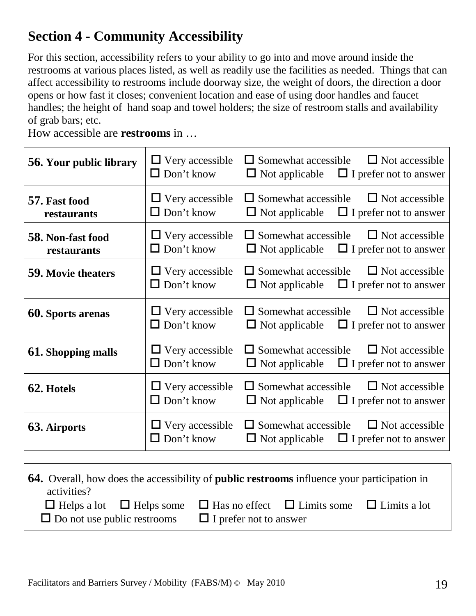### **Section 4 - Community Accessibility**

For this section, accessibility refers to your ability to go into and move around inside the restrooms at various places listed, as well as readily use the facilities as needed. Things that can affect accessibility to restrooms include doorway size, the weight of doors, the direction a door opens or how fast it closes; convenient location and ease of using door handles and faucet handles; the height of hand soap and towel holders; the size of restroom stalls and availability of grab bars; etc.

How accessible are **restrooms** in …

| 56. Your public library          | $\Box$ Very accessible<br>$\Box$ Don't know | $\Box$ Somewhat accessible<br>$\Box$ Not accessible<br>$\Box$ Not applicable $\Box$ I prefer not to answer    |
|----------------------------------|---------------------------------------------|---------------------------------------------------------------------------------------------------------------|
| 57. Fast food<br>restaurants     | $\Box$ Very accessible<br>$\Box$ Don't know | $\Box$ Somewhat accessible<br>$\Box$ Not accessible<br>$\Box$ Not applicable $\Box$ I prefer not to answer    |
| 58. Non-fast food<br>restaurants | $\Box$ Very accessible<br>$\Box$ Don't know | $\Box$ Somewhat accessible<br>$\Box$ Not accessible<br>$\Box$ Not applicable $\Box$ I prefer not to answer    |
| <b>59. Movie theaters</b>        | $\Box$ Very accessible<br>$\Box$ Don't know | $\Box$ Somewhat accessible<br>$\Box$ Not accessible<br>$\Box$ Not applicable $\Box$ I prefer not to answer    |
| <b>60. Sports arenas</b>         | $\Box$ Very accessible<br>$\Box$ Don't know | $\Box$ Somewhat accessible<br>$\Box$ Not accessible<br>$\Box$ Not applicable $\Box$ I prefer not to answer    |
| <b>61. Shopping malls</b>        | $\Box$ Very accessible<br>$\Box$ Don't know | $\Box$ Somewhat accessible<br>$\Box$ Not accessible<br>$\Box$ I prefer not to answer<br>$\Box$ Not applicable |
| 62. Hotels                       | $\Box$ Very accessible<br>$\Box$ Don't know | $\Box$ Somewhat accessible<br>$\Box$ Not accessible<br>$\Box$ Not applicable $\Box$ I prefer not to answer    |
| <b>63. Airports</b>              | $\Box$ Very accessible<br>$\Box$ Don't know | $\Box$ Somewhat accessible<br>$\Box$ Not accessible<br>$\Box$ Not applicable $\Box$ I prefer not to answer    |

| <b>64.</b> Overall, how does the accessibility of <b>public restrooms</b> influence your participation in<br>activities? |  |                                                                                                  |  |  |
|--------------------------------------------------------------------------------------------------------------------------|--|--------------------------------------------------------------------------------------------------|--|--|
|                                                                                                                          |  | $\Box$ Helps a lot $\Box$ Helps some $\Box$ Has no effect $\Box$ Limits some $\Box$ Limits a lot |  |  |
| $\Box$ Do not use public restrooms<br>$\Box$ I prefer not to answer                                                      |  |                                                                                                  |  |  |